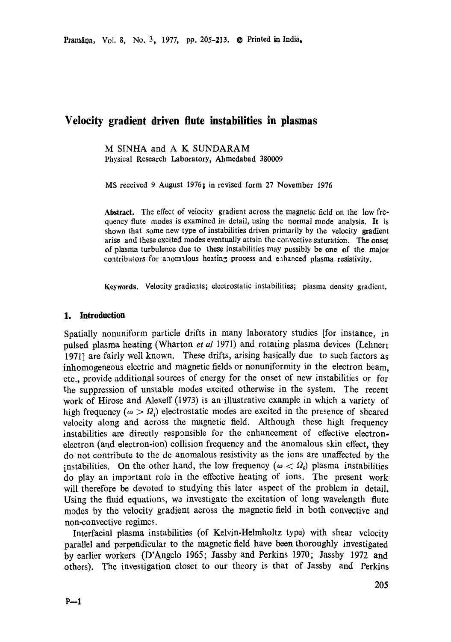# **Velocity gradient driven flute instabilities in plasmas**

M S[NHA and A K SUNDARAM Physical Research Laboratory, Ahmedabad 380009

MS received 9 August 1976; in revised form 27 November 1976

Abstract. The effect of velocity gradient across the magnetic field on the low frequency flute modes is examined in detail, using the normal mode analysis. It is shown that some new type of instabilities driven primarily by the velocity **gradient**  arise and these excited modes eventually attain the convective saturation. The onset of plasma turbulence due to these instabilities may possibly be one of the major contributors for anomalous heating process and enhanced plasma **resistivity.** 

**Keywords.** Velocity gradients; electrostatic instabilities; plasma density gradient.

## **1. Introduction**

Spatially nonuniform particle drifts in many laboratory studies [for instance, in pulsed plasma heating (Wharton *et al* 1971) and rotating plasma devices (Lehnert 1971] are fairly well known. These drifts, arising basically due to such factors as inhomogeneous electric and magnetic fields or nonuniformity in the electron beam, etc., provide additional sources of energy for the onset of new instabilities or for the suppression of unstable modes excited otherwise in the system. The recent work of Hirose and Alexeff (1973) is an illustrative example in which a variety of high frequency ( $\omega > \Omega_i$ ) electrostatic modes are excited in the presence of sheared velocity along and across the magnetic field. Although these high frequency instabilities are directly responsible for the enhancement of effective electronelectron (and electron-ion) collision frequency and the anomalous skin effect, they do not contribute to the dc anomalous resistivity as the ions are unaffected by the instabilities. On the other hand, the low frequency ( $\omega < \Omega_i$ ) plasma instabilities do play an important role in the effective heating of ions. The present work will therefore be devoted to studying this later aspect of the problem in detail. Using the fluid equations, we investigate the excitation of long wavelength flute modes by the velocity gradient across the magnetic field in both convective and non-convective regimes.

Interracial plasma instabilities (of Kelvin-Helmholtz type) with shear velocity parallel and perpendicular to the magnetic field have been thoroughly investigated by earlier workers (D'Angelo 1965; Jassby and Perkins 1970; Jassby 1972 and others). The investigation closet to our theory is that of Jassby and Perkins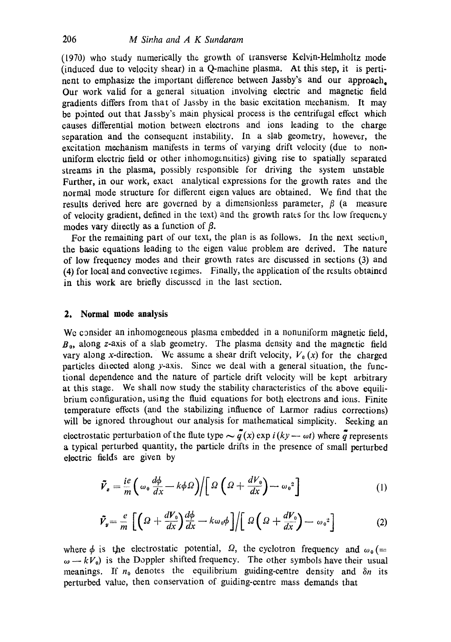(1970) who study numerically the growth of transverse Kelvin-Helmholtz mode (induced due to velocity shear) in a Q-machine plasma. At this step, it is pertinent to emphasize the important difference between Jassby's and our approach. Our work valid for a general situation involving electric and magnetic field gradients differs from that of Jassby in the basic excitation mechanism. It may be pointed out that Jassby's main physical process is the centrifugal effect which causes differential motion between electrons and ions leading to the charge separation and the consequent instability. In a slab geometry, however, the excitation mechanism manifests in terms of varying drift velocity (due to nonuniform electric field or other inhomogeneities) giving rise to spatially separated streams in the plasma, possibly responsible for driving the system unstable Further, in our work, exact analytical expressions for the growth rates and the normal mode structure for different eigen values are obtained. We find that the results derived here are governed by a dimensionless parameter,  $\beta$  (a measure of velocity gradient, defined in the text) and the growth rates for the low frequem.y modes vary directly as a function of  $\beta$ .

For the remaining part of our text, the plan is as follows. In the next section, the basic equations leading to the eigen value problem are derived. The nature of low frequency modes and their growth rates are discussed in sections (3) and (4) for local and convective legimes. Finally, the application of the results obtained in this work are briefly discussed in the last section.

## **2. Normal mode analysis**

We consider an inhomogeneous plasma embedded in a nonuniform magnetic field, *Bo,* along z-axis of a slab geometry. The plasma density and the magnetic field vary along x-direction. We assume a shear drift velocity,  $V_0(x)$  for the charged particles directed along  $y$ -axis. Since we deal with a general situation, the functional dependence and the nature of particle drift velocity will be kept arbitrary at this stage. We shall now study the stability characteristics of the above equilibrium configuration, using the fluid equations for both electrons and ions. Finite temperature effects (and the stabilizing influence of Larmor radius corrections) will be ignored throughout our analysis for mathematical simplicity. Seeking an electrostatic perturbation of the flute type  $\sim \tilde{q}(x) \exp i(ky-\omega t)$  where  $\tilde{q}$  represents a typical perturbed quantity, the particle drifts in the presence of small perturbed electric fields are given by

$$
\tilde{V}_s = \frac{ie}{m} \left( \omega_0 \frac{d\phi}{dx} - k\phi \Omega \right) / \left[ \Omega \left( \Omega + \frac{dV_0}{dx} \right) - \omega_0^2 \right] \tag{1}
$$

$$
\tilde{V}_y = \frac{e}{m} \left[ \left( \Omega + \frac{dV_0}{dx} \right) \frac{d\phi}{dx} - k\omega_0 \phi \right] / \left[ \Omega \left( \Omega + \frac{dV_0}{dx} \right) - \omega_0^2 \right] \tag{2}
$$

where  $\phi$  is the electrostatic potential,  $\Omega$ , the cyclotron frequency and  $\omega_0$  (=  $\omega - kV_0$ ) is the Doppler shifted frequency. The other symbols have their usual meanings. If  $n_0$  denotes the equilibrium guiding-centre density and  $\delta n$  its perturbed value, then conservation of guiding-centre mass demands that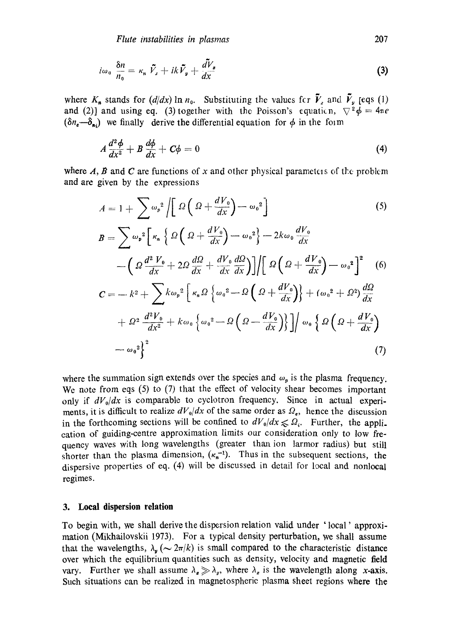$$
i\omega_0 \frac{\delta n}{n_0} = \kappa_n \ \tilde{V}_x + ik \tilde{V}_y + \frac{dV_x}{dx}
$$
 (3)

where  $K_n$  stands for  $(d/dx) \ln n_0$ . Substituting the values for  $\tilde{V}_r$  and  $\tilde{V}_v$  [eqs (1) and (2)] and using eq. (3) together with the Poisson's equation,  $\nabla^2 \phi = 4\pi e$  $(\delta n_e-\delta_{\alpha})$  we finally derive the differential equation for  $\phi$  in the form

$$
A\frac{d^2\phi}{dx^2} + B\frac{d\phi}{dx} + C\phi = 0
$$
\n(4)

where  $A$ ,  $B$  and  $C$  are functions of x and other physical parameters of the problem and are given by the expressions

$$
A = 1 + \sum \omega_p^2 \left[ \Omega \left( \Omega + \frac{dV_0}{dx} \right) - \omega_0^2 \right]
$$
(5)  
\n
$$
B = \sum \omega_p^2 \left[ \kappa_n \left\{ \Omega \left( \Omega + \frac{dV_0}{dx} \right) - \omega_0^2 \right\} - 2k\omega_0 \frac{dV_0}{dx} - \left( \Omega \frac{d^2 V_0}{dx} + 2\Omega \frac{d\Omega}{dx} + \frac{dV_0}{dx} \frac{d\Omega}{dx} \right) \right] \left[ \Omega \left( \Omega + \frac{dV_0}{dx} \right) - \omega_0^2 \right]^2
$$
(6)  
\n
$$
C = -k^2 + \sum k \omega_p^2 \left[ \kappa_n \Omega \left\{ \omega_0^2 - \Omega \left( \Omega + \frac{dV_0}{dx} \right) \right\} + (\omega_0^2 + \Omega^2) \frac{d\Omega}{dx} + \Omega^2 \frac{d^2 V_0}{dx^2} + k\omega_0 \left\{ \omega_0^2 - \Omega \left( \Omega - \frac{dV_0}{dx} \right) \right\} \right] / \omega_0 \left\{ \Omega \left( \Omega + \frac{dV_0}{dx} \right) - \omega_0^2 \right\}^2
$$
(7)

where the summation sign extends over the species and  $\omega_p$  is the plasma frequency. We note from eqs (5) to (7) that the effect of velocity shear becomes important only if  $dV_0/dx$  is comparable to cyclotron frequency. Since in actual experiments, it is difficult to realize  $dV_0/dx$  of the same order as  $\Omega_e$ , hence the discussion in the forthcoming sections will be confined to  $dV_0/dx \leq \Omega_i$ . Further, the appli. cation of guiding-centre approximation limits our consideration only to low frequency waves with long wavelengths (greater than ion larmor radius) but still shorter than the plasma dimension,  $(\kappa_n^{-1})$ . Thus in the subsequent sections, the dispersive properties of eq. (4) will be discussed in detail for local and nonloeal regimes.

### **3. Local dispersion relation**

To begin with, we shall derive the dispersion relation valid under ' local' approximation (Mikhailovskii 1973). For a typical density perturbation, we shall assume that the wavelengths,  $\lambda_{\mathbf{w}} (\sim 2\pi/k)$  is small compared to the characteristic distance over which the equilibrium quantities such as density, velocity and magnetic field vary. Further we shall assume  $\lambda_{\alpha} \gg \lambda_{\nu}$ , where  $\lambda_{\alpha}$  is the wavelength along x-axis. Such situations can be realized in magnetospheric plasma sheet regions where the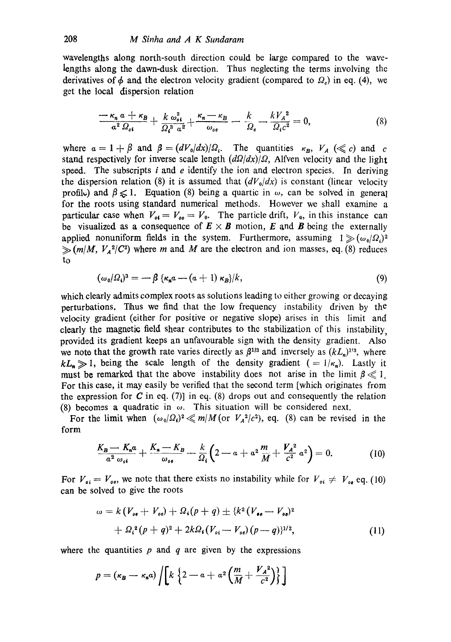wavelengths along north-south direction could be large compared to the wavelengths along the dawn-dusk direction. Thus neglecting the terms involving the derivatives of  $\phi$  and the electron velocity gradient (compared to  $\Omega<sub>e</sub>$ ) in eq. (4), we get the local dispersion relation

$$
\frac{\overline{-\kappa_n a + \kappa_B}}{a^2 \Omega_{ot}} + \frac{k \omega_{ot}^2}{\Omega_i^3 a^2} + \frac{\kappa_n - \kappa_B}{\omega_{ot}} - \frac{k}{\Omega_e} - \frac{kV_A^2}{\Omega_i c^2} = 0, \tag{8}
$$

where  $\alpha = 1 + \beta$  and  $\beta = (dV_0/dx)/\Omega_i$ . The quantities  $\kappa_B$ ,  $V_A$  ( $\leq c$ ) and c stand respectively for inverse scale length  $(d\Omega/dx)/\Omega$ , Alfven velocity and the light speed. The subscripts  $i$  and  $e$  identify the ion and electron species. In deriving the dispersion relation (8) it is assumed that  $(dV_0/dx)$  is constant (linear velocity profile) and  $\beta \leq 1$ . Equation (8) being a quartic in  $\omega$ , can be solved in general for the roots using standard numerical methods. However we shall examine a particular case when  $V_{of} = V_{oo} = V_0$ . The particle drift,  $V_0$ , in this instance can be visualized as a consequence of  $E \times B$  motion, E and B being the externally applied nonuniform fields in the system. Furthermore, assuming  $1 \gg (\omega_0/\Omega_0)^2$  $\gg (m/M, V_A^2/C^2)$  where m and M are the electron and ion masses, eq. (8) reduces to

$$
(\omega_0/\Omega_i)^3 = -\beta \left\{ \kappa_n a - (a+1) \kappa_B \right\} / k, \tag{9}
$$

which clearly admits complex roots as solutions leading to either growing or decaying perturbations. Thus we find that the low frequency instability driven by the velocity gradient (either for positive or negative slope) arises in this limit and clearly the magnetic field shear contributes to the stabilization of this instability, provided its gradient keeps an unfavourable sign with the density gradient. Also we note that the growth rate varies directly as  $\beta^{1/3}$  and inversely as  $(kL_n)^{1/3}$ , where  $kL_n \gg 1$ , being the scale length of the density gradient (=  $1/\kappa_n$ ). Lastly it must be remarked that the above instability does not arise in the limit  $\beta \ll 1$ . For this case, it may easily be verified that the second term [which originates from the expression for C in eq. (7)] in eq. (8) drops out and consequently the relation (8) becomes a quadratic in  $\omega$ . This situation will be considered next.

For the limit when  $(\omega_0/\Omega_i)^2 \ll m/M$  (or  $V_A^2/c^2$ ), eq. (8) can be revised in the form

$$
\frac{K_B - K_n a}{a^2 \omega_{oi}} + \frac{K_n - K_B}{\omega_{oi}} - \frac{k}{\Omega_i} \left( 2 - a + a^2 \frac{m}{M} + \frac{V_A^2}{c^2} a^2 \right) = 0. \tag{10}
$$

For  $V_{oi} = V_{oo}$ , we note that there exists no instability while for  $V_{oi} \neq V_{oe}$  eq. (10) can be solved to give the roots

$$
\omega = k (V_{o\bullet} + V_{o\bullet}) + \Omega_{i}(p+q) \pm \{k^{2} (V_{\bullet\bullet} - V_{o\bullet})^{2} + \Omega_{i}^{2}(p+q)^{2} + 2k\Omega_{i}(V_{oi} - V_{o\bullet})(p-q)\}^{1/2},
$$
\n(11)

where the quantities  $p$  and  $q$  are given by the expressions

$$
p = (\kappa_B - \kappa_n a) / \left[ k \left\{ 2 - a + a^2 \left( \frac{m}{M} + \frac{V_A^2}{c^2} \right) \right\} \right]
$$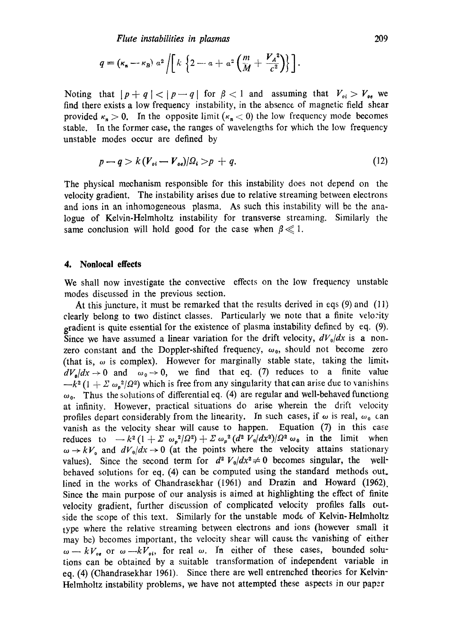$$
q = (\kappa_n - \kappa_B) a^2 \left[ k \left\{ 2 - a + a^2 \left( \frac{m}{M} + \frac{V_A^2}{c^2} \right) \right\} \right].
$$

Noting that  $|p+q| < |p-q|$  for  $\beta < 1$  and assuming that  $V_{oi} > V_{oe}$  we find there exists a low frequency instability, in the absence of magnetic field shear provided  $\kappa_n > 0$ . In the opposite limit ( $\kappa_n < 0$ ) the low frequency mode becomes stable. In the former case, the ranges of wavelengths for which the low frequency unstable modes occur are defined by

$$
p - q > k(V_{oi} - V_{oo})/\Omega_i > p + q. \tag{12}
$$

The physical mechanism responsible for this instability does not depend on the velocity gradient. The instability arises due to relative streaming between electrons and ions in an inhomogeneous plasma. As such this instability will be the analogue of Kelvin-Helmholtz instability for transverse streaming. Similarly the same conclusion will hold good for the case when  $\beta \ll 1$ .

#### **4. Nonlocal effects**

We shall now investigate the convective effects on the low frequency unstable modes discussed in the previous section.

At this juncture, it must be remarked that the results derived in eqs (9) and (11) clearly belong to two distinct classes. Particularly we note that a finite velo:ity gradient is quite essential for the existence of plasma instability defined by eq. (9). Since we have assumed a linear variation for the drift velocity,  $dV_0/dx$  is a nonzero constant and the Doppler-shifted frequency,  $\omega_0$ , should not become zero (that is,  $\omega$  is complex). However for marginally stable state, taking the limit,  $dV_0/dx \to 0$  and  $\omega_0 \to 0$ , we find that eq. (7) reduces to a finite value  $-k^2 (1 + \Sigma \omega_n^2/\Omega^2)$  which is free from any singularity that can arise due to vanishins  $\omega_0$ . Thus the solutions of differential eq. (4) are regular and well-behaved functiong at infinity. However, practical situations do arise wherein the drift velocity profiles depart considerably from the linearity. In such cases, if  $\omega$  is real,  $\omega_0$  can vanish as the velocity shear will cause to happen. Equation (7) in this case reduces to  $-k^2 (1 + \Sigma \omega_p^2/\Omega^2) + \Sigma \omega_p^2 (d^2 V_0/dx^2)/\Omega^2 \omega_0$  in the limit when  $\omega \rightarrow kV_0$  and  $dV_0/dx \rightarrow 0$  (at the points where the velocity attains stationary values). Since the second term for  $d^2 V_0/dx^2 \neq 0$  becomes singular, the wellbehaved solutions for eq. (4) can be computed using the standard methods out. lined in the works of Chandrasekhar (1961) and Drazin and Howard (1962). Since the main purpose of our analysis is aimed at highlighting the effect of finite velocity gradient, further discussion of complicated velocity profiles falls outside the scope of this text. Similarly for the unstable mode of Kelvin-Helmholtz type where the relative streaming between electrons and ions (however small it may be) becomes important, the velocity shear will cause the vanishing of either  $\omega - kV_{\omega}$  or  $\omega - kV_{\omega}$ , for real  $\omega$ . In either of these cases, bounded solutions can be obtained by a suitable transformation of independent variable in eq. (4) (Chandrasekhar 1961). Since there are well entrenched theories for Kelvin-Helmholtz instability problems, we have not attempted these aspects in our paper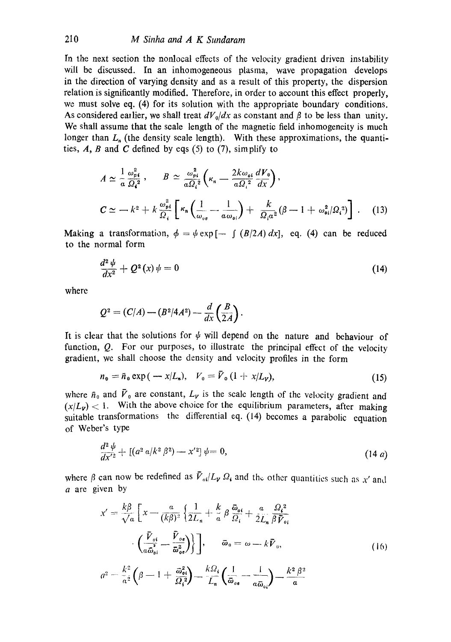In the next section the nonlocal effects of the velocity gradient driven instability will be discussed. In an inhomogeneous plasma, wave propagation develops in the direction of varying density and as a result of this property, the dispersion relation is significantly modified. Therefore, in order to account this effect properly, we must solve eq. (4) for its solution with the appropriate boundary conditions. As considered earlier, we shall treat  $dV_0/dx$  as constant and  $\beta$  to be less than unity. We shall assume that the scale length of the magnetic field inhomogeneity is much longer than  $L_n$  (the density scale length). With these approximations, the quantities,  $A$ ,  $B$  and  $C$  defined by eqs (5) to (7), simplify to

$$
A \simeq \frac{1}{a} \frac{\omega_{pi}^2}{\Omega_i^2}, \qquad B \simeq \frac{\omega_{pi}^2}{a \Omega_i^2} \left(\kappa_n - \frac{2k \omega_{ot}}{a \Omega_i^2} \frac{dV_0}{dx}\right),
$$
  

$$
C \simeq -k^2 + k \frac{\omega_{pi}^2}{\Omega_i} \left[\kappa_n \left(\frac{1}{\omega_{ve}} - \frac{1}{a \omega_{oi}}\right) + \frac{k}{\Omega_i \alpha^2} (\beta - 1 + \omega_{oi}^2/\Omega_i^2)\right].
$$
 (13)

Making a transformation,  $\phi = \psi \exp[-\int (B/2A) dx]$ , eq. (4) can be reduced to the normal form

$$
\frac{d^2\,\psi}{dx^2} + Q^2\left(x\right)\psi = 0\tag{14}
$$

where

$$
Q^2 = (C/A) - (B^2/4A^2) - \frac{d}{dx}\left(\frac{B}{2A}\right).
$$

It is clear that the solutions for  $\psi$  will depend on the nature and behaviour of function, Q. For our purposes, to illustrate the principal effect of the velocity gradient, we shall choose the density and velocity profiles in the form

$$
n_0 = \bar{n}_0 \exp(-x/L_n), \quad V_0 = V_0 (1 + x/L_v), \tag{15}
$$

where  $\bar{n}_0$  and  $\bar{V}_0$  are constant,  $L_V$  is the scale length of the velocity gradient and  $(x/L_v)$  < 1. With the above choice for the equilibrium parameters, after making suitable transformations the differential eq. (14) becomes a parabolic equation of Weber's type

$$
\frac{d^2 \psi}{dx'^2} + \left[ \left( a^2 a / k^2 \beta^2 \right) - x'^2 \right] \psi = 0, \tag{14 a}
$$

where  $\beta$  can now be redefined as  $\bar{V}_{ol}/L_{\nu} \Omega_{\rm s}$  and the other quantities such as x' and a are given by

$$
x' = \frac{k\beta}{\sqrt{a}} \left[ x - \frac{a}{(k\beta)^2} \left\{ \frac{1}{2L_n} + \frac{k}{a} \beta \frac{\bar{\omega}_{\theta i}}{\Omega_i} + \frac{a}{2L_n} \frac{\Omega_i^2}{\beta \bar{V}_{\theta i}} \right\} \right]
$$

$$
\cdot \left( \frac{\bar{V}_{\theta i}}{a\bar{\omega}_{\theta i}} - \frac{\bar{V}_{\theta \theta}}{\bar{\omega}_{\theta \theta}} \right) \right], \qquad \bar{\omega}_0 = \omega - k\bar{V}_0,
$$

$$
a^2 - \frac{k^2}{a^2} \left( \beta - 1 + \frac{\bar{\omega}_{\theta i}^2}{\Omega_i^2} \right) - \frac{k\Omega_i}{L_n} \left( \frac{1}{\bar{\omega}_{\theta \theta}} - \frac{1}{a\bar{\omega}_{\theta i}} \right) - \frac{k^2 \beta^2}{a}
$$
(16)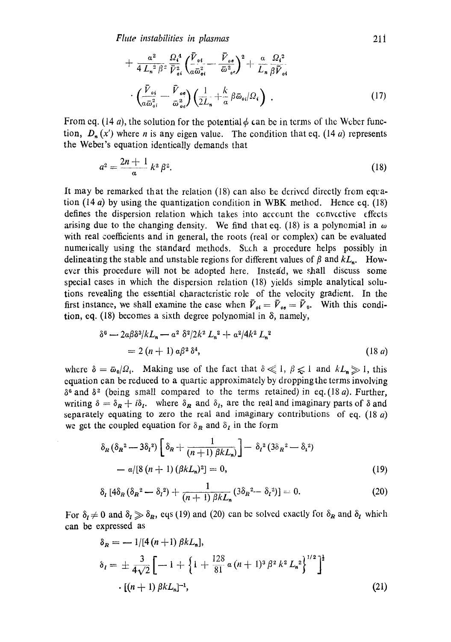$$
+ \frac{a^2}{4 L_n^2 \beta^2} \frac{\Omega_i^4}{\bar{V}_{oi}^2} \left( \frac{\bar{V}_{oi}}{a \bar{\omega}_{oi}^2} - \frac{\bar{V}_{oi}}{\bar{\omega}_{oi}^2} \right)^2 + \frac{a}{L_n} \frac{\Omega_i^2}{\beta \bar{V}_{oi}} \cdot \left( \frac{\bar{V}_{oi}}{a \bar{\omega}_{oi}^2} - \frac{\bar{V}_{oi}}{\bar{\omega}_{oi}^2} \right) \left( \frac{1}{2L_n} + \frac{k}{a} \beta \bar{\omega}_{oi}/\Omega_i \right) .
$$
\n(17)

From eq. (14 a), the solution for the potential  $\phi$  can be in terms of the Weber function,  $D_n(x)$  where *n* is any eigen value. The condition that eq. (14 a) represents the Weber's equation identically demands that

$$
a^2 = \frac{2n+1}{a} k^2 \beta^2.
$$
 (18)

It may be remarked that the relation (18) can also be derived directly from eqration  $(14 a)$  by using the quantization condition in WBK method. Hence eq. (18) defines the dispersion relation which takes into account the convective effects arising due to the changing density. We find that eq. (18) is a polynomial in  $\omega$ with real coefficients and in general, the roots (real or complex) can be evaluated numerically using the standard methods. Such a procedure helps possibly in delineating the stable and unstable regions for different values of  $\beta$  and  $kL_n$ . However this procedure will not be adopted here. Instead, we shall discuss some special cases in which the dispersion relation (18) yields simple analytical solutions revealing the essential characteristic role of the velocity gradient. In the first instance, we shall examine the case when  $\bar{V}_{oi} = \bar{V}_{oi} = \bar{V}_{0}$ . With this condition, eq. (18) becomes a sixth degree polynomial in  $\delta$ , namely,

$$
\delta^{6} - 2a\beta\delta^{3}/kL_{n} - a^{2}\delta^{2}/2k^{2}L_{n}^{2} + a^{2}/4k^{2}L_{n}^{2}
$$
  
= 2(n+1)  $\alpha\beta^{2}\delta^{4}$ , (18 a)

where  $\delta = \bar{\omega}_0/\Omega_i$ . Making use of the fact that  $\delta \ll 1$ ,  $\beta \le 1$  and  $kL_n \gg 1$ , this equation can be reduced to a quartic approximately by droppingthe terms involving  $\delta^6$  and  $\delta^2$  (being small compared to the terms retained) in eq.(18 a). Further, writing  $\delta = \delta_R + i\delta_I$ . where  $\delta_R$  and  $\delta_I$ , are the real and imaginary parts of  $\delta$  and separately equating to zero the real and imaginary contributions of eq. (18 a) we get the coupled equation for  $\delta_R$  and  $\delta_I$  in the form

$$
\delta_R (\delta_R^2 - 3\delta_l^2) \left[ \delta_R + \frac{1}{(n+1)\beta k L_n} \right] - \delta_l^2 (3\delta_R^2 - \delta_l^2) - \alpha / [8(n+1)(\beta k L_n)^2] = 0,
$$
\n(19)

$$
\delta_{l}\left[4\delta_{R}\left(\delta_{R}^{2}-\delta_{l}^{2}\right)+\frac{1}{\left(n+1\right)\beta kL_{n}}\left(3\delta_{R}^{2}-\delta_{l}^{2}\right)\right]=0.\tag{20}
$$

For  $\delta_I \neq 0$  and  $\delta_I \geq \delta_R$ , eqs (19) and (20) can be solved exactly for  $\delta_R$  and  $\delta_I$  which can be expressed as

$$
\delta_R = -1/[4(n+1) \beta k L_n],
$$
  
\n
$$
\delta_l = \pm \frac{3}{4\sqrt{2}} \left[ -1 + \left\{ 1 + \frac{128}{81} \alpha (n+1)^3 \beta^2 k^2 L_n^2 \right\}^{1/2} \right]^{\frac{1}{2}}
$$
  
\n
$$
\cdot [(n+1) \beta k L_n]^{-1},
$$
\n(21)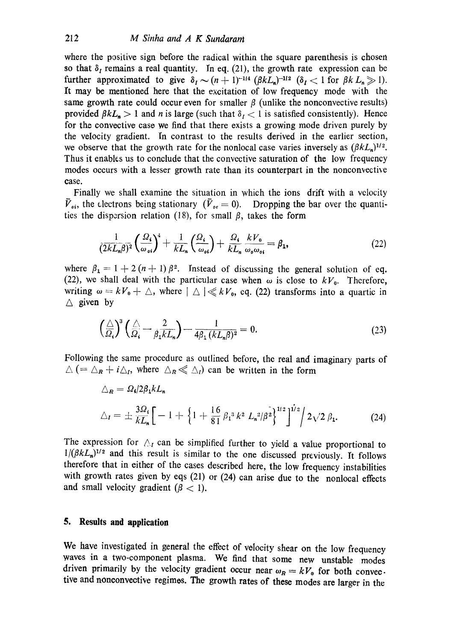where the positive sign before the radical within the square parenthesis is chosen so that  $\delta_t$  remains a real quantity. In eq. (21), the growth rate expression can be further approximated to give  $\delta_I \sim (n+1)^{-1/4} (\beta k L_n)^{-1/2}$  ( $\delta_I < 1$  for  $\beta k L_n \gg 1$ ). It may be mentioned here that the excitation of low frequency mode with the same growth rate could occur even for smaller  $\beta$  (unlike the nonconvective results) provided  $\beta kL_n > 1$  and n is large (such that  $\delta_i < 1$  is satisfied consistently). Hence for the convective case we find that there exists a growing mode driven purely by the velocity gradient. In contrast to the results derived in the earlier section, we observe that the growth rate for the nonlocal case varies inversely as  $(\beta k L_n)^{1/2}$ . Thus it enables us to conclude that the convective saturation of the low frequency modes occurs with a lesser growth rate than its counterpart in the nonconvective case.

Finally we shall examine the situation in which the ions drift with a velocity  $\tilde{V}_{\alpha i}$ , the electrons being stationary  $(\tilde{V}_{\alpha e} = 0)$ . Dropping the bar over the quantities the dispersion relation (18), for small  $\beta$ , takes the form

$$
\frac{1}{(2kL_n\beta)^2} \left(\frac{\Omega_i}{\omega_{oi}}\right)^4 + \frac{1}{kL_n} \left(\frac{\Omega_i}{\omega_{oi}}\right) + \frac{\Omega_i}{kL_n} \frac{kV_0}{\omega_o \omega_{oi}} = \beta_1,\tag{22}
$$

where  $\beta_1 = 1 + 2(n + 1)\beta^2$ . Instead of discussing the general solution of eq. (22), we shall deal with the particular case when  $\omega$  is close to  $kV_0$ . Therefore, writing  $\omega = k V_0 + \Delta$ , where  $|\Delta| \ll k V_0$ , eq. (22) transforms into a quartic in  $\triangle$  given by

$$
\left(\frac{\triangle}{\Omega_i}\right)^3 \left(\frac{\triangle}{\Omega_i} - \frac{2}{\beta_1 k L_n}\right) - \frac{1}{4\beta_1 (k L_n \beta)^2} = 0. \tag{23}
$$

Following the same procedure as outlined before, the real and imaginary parts of  $\Delta$  (=  $\Delta_R$  +  $i\Delta_l$ , where  $\Delta_R \ll \Delta_l$ ) can be written in the form

$$
\Delta_R = \Omega_i/2\beta_1 k L_n
$$
  
\n
$$
\Delta_I = \pm \frac{3\Omega_i}{k L_n} \Big[ -1 + \Big\{ 1 + \frac{16}{81} \beta_1^3 k^2 L_n^2/\beta^2 \Big\}^{1/2} \Big\}^{1/2} \Big/ 2\sqrt{2} \beta_1.
$$
 (24)

The expression for  $\triangle$ , can be simplified further to yield a value proportional to  $1/(\beta kL_n)^{1/2}$  and this result is similar to the one discussed previously. It follows therefore that in either of the cases described here, the low frequency instabilities with growth rates given by eqs (21) or (24) can arise due to the nonlocal effects and small velocity gradient ( $\beta$  < 1).

#### **5. Results and application**

We have investigated in general the effect of velocity shear on the low frequency waves in a two-component plasma. We find that some new unstable modes driven primarily by the velocity gradient occur near  $\omega_R = kV_0$  for both convec. tive and nonconvective regimes. The growth rates of these modes are larger in the